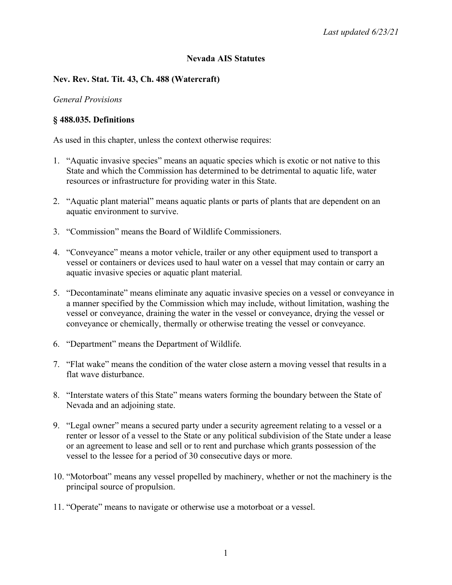## **Nevada AIS Statutes**

## **Nev. Rev. Stat. Tit. 43, Ch. 488 (Watercraft)**

### *General Provisions*

## **§ 488.035. Definitions**

As used in this chapter, unless the context otherwise requires:

- 1. "Aquatic invasive species" means an aquatic species which is exotic or not native to this State and which the Commission has determined to be detrimental to aquatic life, water resources or infrastructure for providing water in this State.
- 2. "Aquatic plant material" means aquatic plants or parts of plants that are dependent on an aquatic environment to survive.
- 3. "Commission" means the Board of Wildlife Commissioners.
- 4. "Conveyance" means a motor vehicle, trailer or any other equipment used to transport a vessel or containers or devices used to haul water on a vessel that may contain or carry an aquatic invasive species or aquatic plant material.
- 5. "Decontaminate" means eliminate any aquatic invasive species on a vessel or conveyance in a manner specified by the Commission which may include, without limitation, washing the vessel or conveyance, draining the water in the vessel or conveyance, drying the vessel or conveyance or chemically, thermally or otherwise treating the vessel or conveyance.
- 6. "Department" means the Department of Wildlife.
- 7. "Flat wake" means the condition of the water close astern a moving vessel that results in a flat wave disturbance.
- 8. "Interstate waters of this State" means waters forming the boundary between the State of Nevada and an adjoining state.
- 9. "Legal owner" means a secured party under a security agreement relating to a vessel or a renter or lessor of a vessel to the State or any political subdivision of the State under a lease or an agreement to lease and sell or to rent and purchase which grants possession of the vessel to the lessee for a period of 30 consecutive days or more.
- 10. "Motorboat" means any vessel propelled by machinery, whether or not the machinery is the principal source of propulsion.
- 11. "Operate" means to navigate or otherwise use a motorboat or a vessel.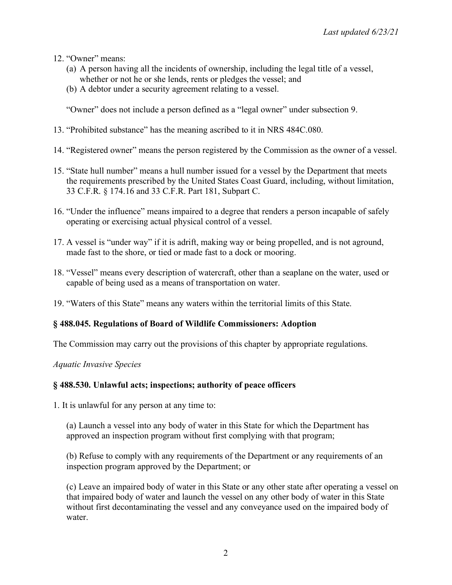- 12. "Owner" means:
	- (a) A person having all the incidents of ownership, including the legal title of a vessel, whether or not he or she lends, rents or pledges the vessel; and
	- (b) A debtor under a security agreement relating to a vessel.

"Owner" does not include a person defined as a "legal owner" under subsection 9.

- 13. "Prohibited substance" has the meaning ascribed to it in NRS 484C.080.
- 14. "Registered owner" means the person registered by the Commission as the owner of a vessel.
- 15. "State hull number" means a hull number issued for a vessel by the Department that meets the requirements prescribed by the United States Coast Guard, including, without limitation, 33 C.F.R. § 174.16 and 33 C.F.R. Part 181, Subpart C.
- 16. "Under the influence" means impaired to a degree that renders a person incapable of safely operating or exercising actual physical control of a vessel.
- 17. A vessel is "under way" if it is adrift, making way or being propelled, and is not aground, made fast to the shore, or tied or made fast to a dock or mooring.
- 18. "Vessel" means every description of watercraft, other than a seaplane on the water, used or capable of being used as a means of transportation on water.
- 19. "Waters of this State" means any waters within the territorial limits of this State.

### **§ 488.045. Regulations of Board of Wildlife Commissioners: Adoption**

The Commission may carry out the provisions of this chapter by appropriate regulations.

*Aquatic Invasive Species*

### **§ 488.530. Unlawful acts; inspections; authority of peace officers**

1. It is unlawful for any person at any time to:

(a) Launch a vessel into any body of water in this State for which the Department has approved an inspection program without first complying with that program;

(b) Refuse to comply with any requirements of the Department or any requirements of an inspection program approved by the Department; or

(c) Leave an impaired body of water in this State or any other state after operating a vessel on that impaired body of water and launch the vessel on any other body of water in this State without first decontaminating the vessel and any conveyance used on the impaired body of water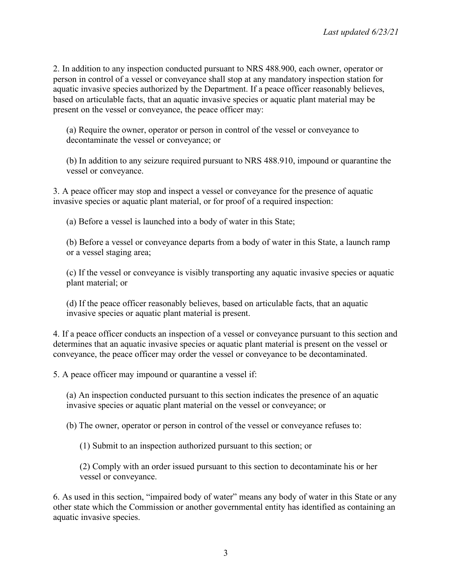2. In addition to any inspection conducted pursuant to NRS 488.900, each owner, operator or person in control of a vessel or conveyance shall stop at any mandatory inspection station for aquatic invasive species authorized by the Department. If a peace officer reasonably believes, based on articulable facts, that an aquatic invasive species or aquatic plant material may be present on the vessel or conveyance, the peace officer may:

(a) Require the owner, operator or person in control of the vessel or conveyance to decontaminate the vessel or conveyance; or

(b) In addition to any seizure required pursuant to NRS 488.910, impound or quarantine the vessel or conveyance.

3. A peace officer may stop and inspect a vessel or conveyance for the presence of aquatic invasive species or aquatic plant material, or for proof of a required inspection:

(a) Before a vessel is launched into a body of water in this State;

(b) Before a vessel or conveyance departs from a body of water in this State, a launch ramp or a vessel staging area;

(c) If the vessel or conveyance is visibly transporting any aquatic invasive species or aquatic plant material; or

(d) If the peace officer reasonably believes, based on articulable facts, that an aquatic invasive species or aquatic plant material is present.

4. If a peace officer conducts an inspection of a vessel or conveyance pursuant to this section and determines that an aquatic invasive species or aquatic plant material is present on the vessel or conveyance, the peace officer may order the vessel or conveyance to be decontaminated.

5. A peace officer may impound or quarantine a vessel if:

(a) An inspection conducted pursuant to this section indicates the presence of an aquatic invasive species or aquatic plant material on the vessel or conveyance; or

(b) The owner, operator or person in control of the vessel or conveyance refuses to:

(1) Submit to an inspection authorized pursuant to this section; or

(2) Comply with an order issued pursuant to this section to decontaminate his or her vessel or conveyance.

6. As used in this section, "impaired body of water" means any body of water in this State or any other state which the Commission or another governmental entity has identified as containing an aquatic invasive species.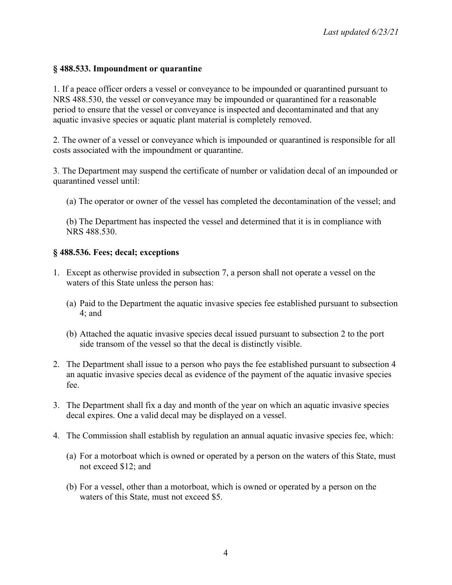## **§ 488.533. Impoundment or quarantine**

1. If a peace officer orders a vessel or conveyance to be impounded or quarantined pursuant to NRS 488.530, the vessel or conveyance may be impounded or quarantined for a reasonable period to ensure that the vessel or conveyance is inspected and decontaminated and that any aquatic invasive species or aquatic plant material is completely removed.

2. The owner of a vessel or conveyance which is impounded or quarantined is responsible for all costs associated with the impoundment or quarantine.

3. The Department may suspend the certificate of number or validation decal of an impounded or quarantined vessel until:

(a) The operator or owner of the vessel has completed the decontamination of the vessel; and

(b) The Department has inspected the vessel and determined that it is in compliance with NRS 488.530.

### **§ 488.536. Fees; decal; exceptions**

- 1. Except as otherwise provided in subsection 7, a person shall not operate a vessel on the waters of this State unless the person has:
	- (a) Paid to the Department the aquatic invasive species fee established pursuant to subsection 4; and
	- (b) Attached the aquatic invasive species decal issued pursuant to subsection 2 to the port side transom of the vessel so that the decal is distinctly visible.
- 2. The Department shall issue to a person who pays the fee established pursuant to subsection 4 an aquatic invasive species decal as evidence of the payment of the aquatic invasive species fee.
- 3. The Department shall fix a day and month of the year on which an aquatic invasive species decal expires. One a valid decal may be displayed on a vessel.
- 4. The Commission shall establish by regulation an annual aquatic invasive species fee, which:
	- (a) For a motorboat which is owned or operated by a person on the waters of this State, must not exceed \$12; and
	- (b) For a vessel, other than a motorboat, which is owned or operated by a person on the waters of this State, must not exceed \$5.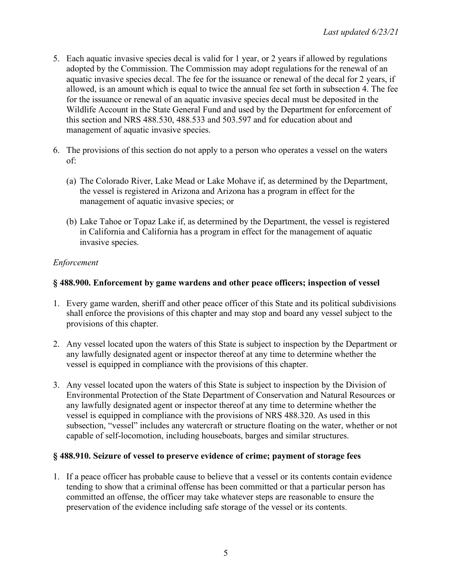- 5. Each aquatic invasive species decal is valid for 1 year, or 2 years if allowed by regulations adopted by the Commission. The Commission may adopt regulations for the renewal of an aquatic invasive species decal. The fee for the issuance or renewal of the decal for 2 years, if allowed, is an amount which is equal to twice the annual fee set forth in subsection 4. The fee for the issuance or renewal of an aquatic invasive species decal must be deposited in the Wildlife Account in the State General Fund and used by the Department for enforcement of this section and NRS 488.530, 488.533 and 503.597 and for education about and management of aquatic invasive species.
- 6. The provisions of this section do not apply to a person who operates a vessel on the waters of:
	- (a) The Colorado River, Lake Mead or Lake Mohave if, as determined by the Department, the vessel is registered in Arizona and Arizona has a program in effect for the management of aquatic invasive species; or
	- (b) Lake Tahoe or Topaz Lake if, as determined by the Department, the vessel is registered in California and California has a program in effect for the management of aquatic invasive species.

# *Enforcement*

# **§ 488.900. Enforcement by game wardens and other peace officers; inspection of vessel**

- 1. Every game warden, sheriff and other peace officer of this State and its political subdivisions shall enforce the provisions of this chapter and may stop and board any vessel subject to the provisions of this chapter.
- 2. Any vessel located upon the waters of this State is subject to inspection by the Department or any lawfully designated agent or inspector thereof at any time to determine whether the vessel is equipped in compliance with the provisions of this chapter.
- 3. Any vessel located upon the waters of this State is subject to inspection by the Division of Environmental Protection of the State Department of Conservation and Natural Resources or any lawfully designated agent or inspector thereof at any time to determine whether the vessel is equipped in compliance with the provisions of NRS 488.320. As used in this subsection, "vessel" includes any watercraft or structure floating on the water, whether or not capable of self-locomotion, including houseboats, barges and similar structures.

# **§ 488.910. Seizure of vessel to preserve evidence of crime; payment of storage fees**

1. If a peace officer has probable cause to believe that a vessel or its contents contain evidence tending to show that a criminal offense has been committed or that a particular person has committed an offense, the officer may take whatever steps are reasonable to ensure the preservation of the evidence including safe storage of the vessel or its contents.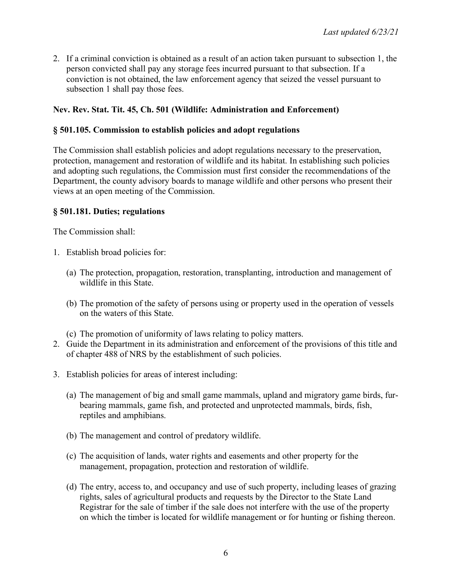2. If a criminal conviction is obtained as a result of an action taken pursuant to subsection 1, the person convicted shall pay any storage fees incurred pursuant to that subsection. If a conviction is not obtained, the law enforcement agency that seized the vessel pursuant to subsection 1 shall pay those fees.

## **Nev. Rev. Stat. Tit. 45, Ch. 501 (Wildlife: Administration and Enforcement)**

### **§ 501.105. Commission to establish policies and adopt regulations**

The Commission shall establish policies and adopt regulations necessary to the preservation, protection, management and restoration of wildlife and its habitat. In establishing such policies and adopting such regulations, the Commission must first consider the recommendations of the Department, the county advisory boards to manage wildlife and other persons who present their views at an open meeting of the Commission.

### **§ 501.181. Duties; regulations**

The Commission shall:

- 1. Establish broad policies for:
	- (a) The protection, propagation, restoration, transplanting, introduction and management of wildlife in this State.
	- (b) The promotion of the safety of persons using or property used in the operation of vessels on the waters of this State.
	- (c) The promotion of uniformity of laws relating to policy matters.
- 2. Guide the Department in its administration and enforcement of the provisions of this title and of chapter 488 of NRS by the establishment of such policies.
- 3. Establish policies for areas of interest including:
	- (a) The management of big and small game mammals, upland and migratory game birds, furbearing mammals, game fish, and protected and unprotected mammals, birds, fish, reptiles and amphibians.
	- (b) The management and control of predatory wildlife.
	- (c) The acquisition of lands, water rights and easements and other property for the management, propagation, protection and restoration of wildlife.
	- (d) The entry, access to, and occupancy and use of such property, including leases of grazing rights, sales of agricultural products and requests by the Director to the State Land Registrar for the sale of timber if the sale does not interfere with the use of the property on which the timber is located for wildlife management or for hunting or fishing thereon.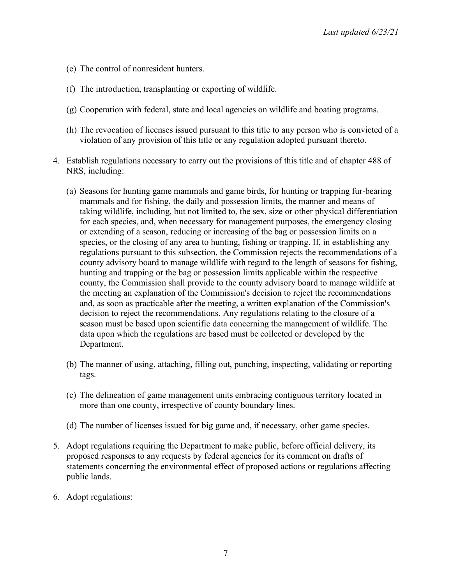- (e) The control of nonresident hunters.
- (f) The introduction, transplanting or exporting of wildlife.
- (g) Cooperation with federal, state and local agencies on wildlife and boating programs.
- (h) The revocation of licenses issued pursuant to this title to any person who is convicted of a violation of any provision of this title or any regulation adopted pursuant thereto.
- 4. Establish regulations necessary to carry out the provisions of this title and of chapter 488 of NRS, including:
	- (a) Seasons for hunting game mammals and game birds, for hunting or trapping fur-bearing mammals and for fishing, the daily and possession limits, the manner and means of taking wildlife, including, but not limited to, the sex, size or other physical differentiation for each species, and, when necessary for management purposes, the emergency closing or extending of a season, reducing or increasing of the bag or possession limits on a species, or the closing of any area to hunting, fishing or trapping. If, in establishing any regulations pursuant to this subsection, the Commission rejects the recommendations of a county advisory board to manage wildlife with regard to the length of seasons for fishing, hunting and trapping or the bag or possession limits applicable within the respective county, the Commission shall provide to the county advisory board to manage wildlife at the meeting an explanation of the Commission's decision to reject the recommendations and, as soon as practicable after the meeting, a written explanation of the Commission's decision to reject the recommendations. Any regulations relating to the closure of a season must be based upon scientific data concerning the management of wildlife. The data upon which the regulations are based must be collected or developed by the Department.
	- (b) The manner of using, attaching, filling out, punching, inspecting, validating or reporting tags.
	- (c) The delineation of game management units embracing contiguous territory located in more than one county, irrespective of county boundary lines.
	- (d) The number of licenses issued for big game and, if necessary, other game species.
- 5. Adopt regulations requiring the Department to make public, before official delivery, its proposed responses to any requests by federal agencies for its comment on drafts of statements concerning the environmental effect of proposed actions or regulations affecting public lands.
- 6. Adopt regulations: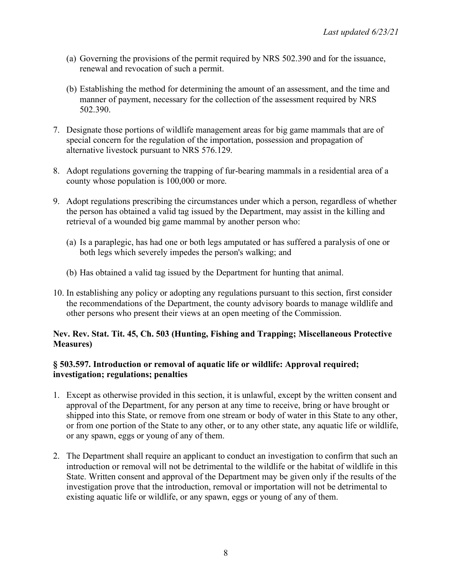- (a) Governing the provisions of the permit required by NRS 502.390 and for the issuance, renewal and revocation of such a permit.
- (b) Establishing the method for determining the amount of an assessment, and the time and manner of payment, necessary for the collection of the assessment required by NRS 502.390.
- 7. Designate those portions of wildlife management areas for big game mammals that are of special concern for the regulation of the importation, possession and propagation of alternative livestock pursuant to NRS 576.129.
- 8. Adopt regulations governing the trapping of fur-bearing mammals in a residential area of a county whose population is 100,000 or more.
- 9. Adopt regulations prescribing the circumstances under which a person, regardless of whether the person has obtained a valid tag issued by the Department, may assist in the killing and retrieval of a wounded big game mammal by another person who:
	- (a) Is a paraplegic, has had one or both legs amputated or has suffered a paralysis of one or both legs which severely impedes the person's walking; and
	- (b) Has obtained a valid tag issued by the Department for hunting that animal.
- 10. In establishing any policy or adopting any regulations pursuant to this section, first consider the recommendations of the Department, the county advisory boards to manage wildlife and other persons who present their views at an open meeting of the Commission.

## **Nev. Rev. Stat. Tit. 45, Ch. 503 (Hunting, Fishing and Trapping; Miscellaneous Protective Measures)**

### **§ 503.597. Introduction or removal of aquatic life or wildlife: Approval required; investigation; regulations; penalties**

- 1. Except as otherwise provided in this section, it is unlawful, except by the written consent and approval of the Department, for any person at any time to receive, bring or have brought or shipped into this State, or remove from one stream or body of water in this State to any other, or from one portion of the State to any other, or to any other state, any aquatic life or wildlife, or any spawn, eggs or young of any of them.
- 2. The Department shall require an applicant to conduct an investigation to confirm that such an introduction or removal will not be detrimental to the wildlife or the habitat of wildlife in this State. Written consent and approval of the Department may be given only if the results of the investigation prove that the introduction, removal or importation will not be detrimental to existing aquatic life or wildlife, or any spawn, eggs or young of any of them.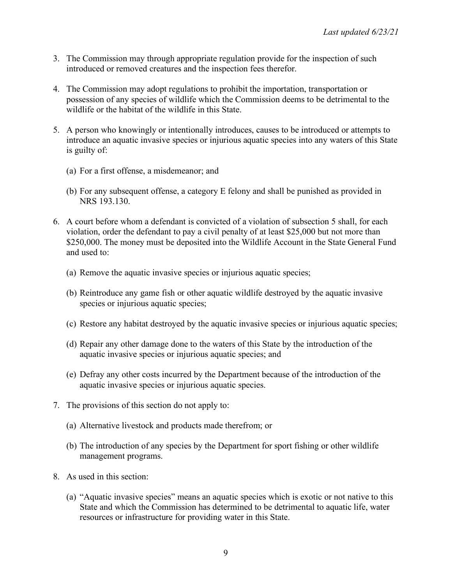- 3. The Commission may through appropriate regulation provide for the inspection of such introduced or removed creatures and the inspection fees therefor.
- 4. The Commission may adopt regulations to prohibit the importation, transportation or possession of any species of wildlife which the Commission deems to be detrimental to the wildlife or the habitat of the wildlife in this State.
- 5. A person who knowingly or intentionally introduces, causes to be introduced or attempts to introduce an aquatic invasive species or injurious aquatic species into any waters of this State is guilty of:
	- (a) For a first offense, a misdemeanor; and
	- (b) For any subsequent offense, a category E felony and shall be punished as provided in NRS 193.130.
- 6. A court before whom a defendant is convicted of a violation of subsection 5 shall, for each violation, order the defendant to pay a civil penalty of at least \$25,000 but not more than \$250,000. The money must be deposited into the Wildlife Account in the State General Fund and used to:
	- (a) Remove the aquatic invasive species or injurious aquatic species;
	- (b) Reintroduce any game fish or other aquatic wildlife destroyed by the aquatic invasive species or injurious aquatic species;
	- (c) Restore any habitat destroyed by the aquatic invasive species or injurious aquatic species;
	- (d) Repair any other damage done to the waters of this State by the introduction of the aquatic invasive species or injurious aquatic species; and
	- (e) Defray any other costs incurred by the Department because of the introduction of the aquatic invasive species or injurious aquatic species.
- 7. The provisions of this section do not apply to:
	- (a) Alternative livestock and products made therefrom; or
	- (b) The introduction of any species by the Department for sport fishing or other wildlife management programs.
- 8. As used in this section:
	- (a) "Aquatic invasive species" means an aquatic species which is exotic or not native to this State and which the Commission has determined to be detrimental to aquatic life, water resources or infrastructure for providing water in this State.